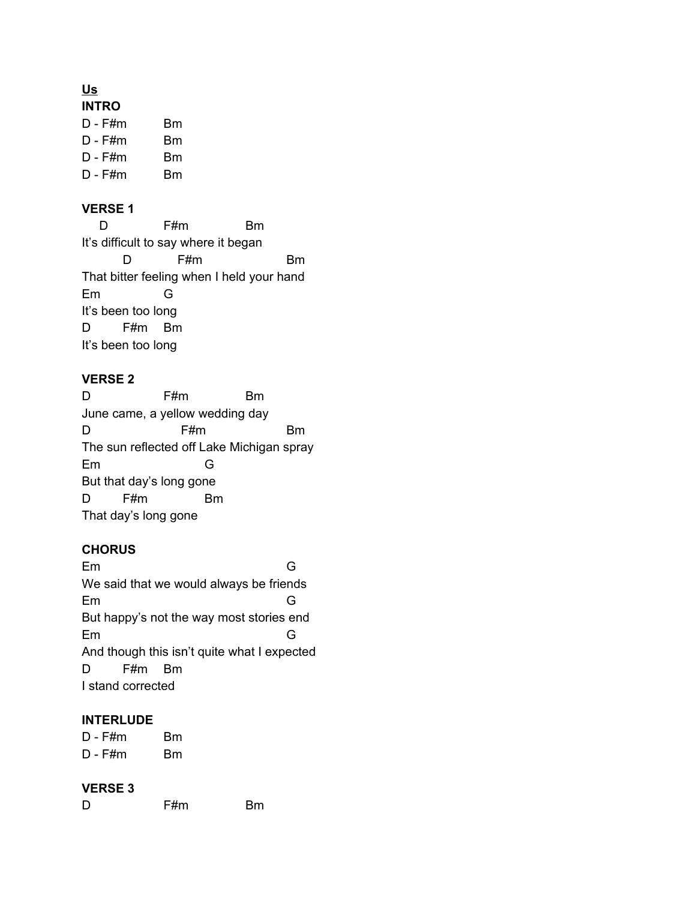# **Us**

- D F#m Bm D - F#m Bm D - F#m Bm
- D F#m Bm

## **VERSE 1**

D F#m Bm It's difficult to say where it began D F#m Bm That bitter feeling when I held your hand Em G It's been too long D F#m Bm It's been too long

#### **VERSE 2**

D F#m Bm June came, a yellow wedding day D F#m Bm The sun reflected off Lake Michigan spray Em G But that day's long gone D F#m Bm That day's long gone

## **CHORUS**

Em G We said that we would always be friends Em G But happy's not the way most stories end Em G And though this isn't quite what I expected D F#m Bm I stand corrected

#### **INTERLUDE**

D - F#m Bm D - F#m Bm

#### **VERSE 3**

D F#m Bm